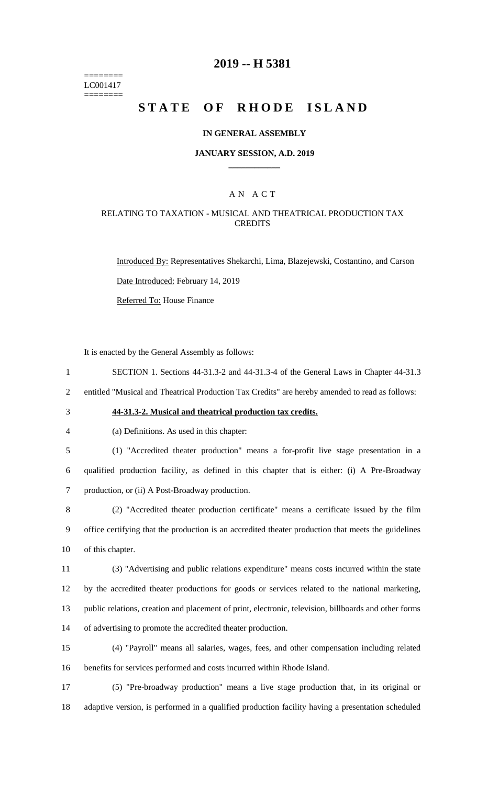======== LC001417 ========

### **2019 -- H 5381**

# **STATE OF RHODE ISLAND**

#### **IN GENERAL ASSEMBLY**

#### **JANUARY SESSION, A.D. 2019 \_\_\_\_\_\_\_\_\_\_\_\_**

### A N A C T

#### RELATING TO TAXATION - MUSICAL AND THEATRICAL PRODUCTION TAX **CREDITS**

Introduced By: Representatives Shekarchi, Lima, Blazejewski, Costantino, and Carson Date Introduced: February 14, 2019

Referred To: House Finance

It is enacted by the General Assembly as follows:

1 SECTION 1. Sections 44-31.3-2 and 44-31.3-4 of the General Laws in Chapter 44-31.3

2 entitled "Musical and Theatrical Production Tax Credits" are hereby amended to read as follows:

# 3 **44-31.3-2. Musical and theatrical production tax credits.**

4 (a) Definitions. As used in this chapter:

5 (1) "Accredited theater production" means a for-profit live stage presentation in a 6 qualified production facility, as defined in this chapter that is either: (i) A Pre-Broadway 7 production, or (ii) A Post-Broadway production.

8 (2) "Accredited theater production certificate" means a certificate issued by the film 9 office certifying that the production is an accredited theater production that meets the guidelines 10 of this chapter.

 (3) "Advertising and public relations expenditure" means costs incurred within the state by the accredited theater productions for goods or services related to the national marketing, public relations, creation and placement of print, electronic, television, billboards and other forms of advertising to promote the accredited theater production.

15 (4) "Payroll" means all salaries, wages, fees, and other compensation including related 16 benefits for services performed and costs incurred within Rhode Island.

17 (5) "Pre-broadway production" means a live stage production that, in its original or 18 adaptive version, is performed in a qualified production facility having a presentation scheduled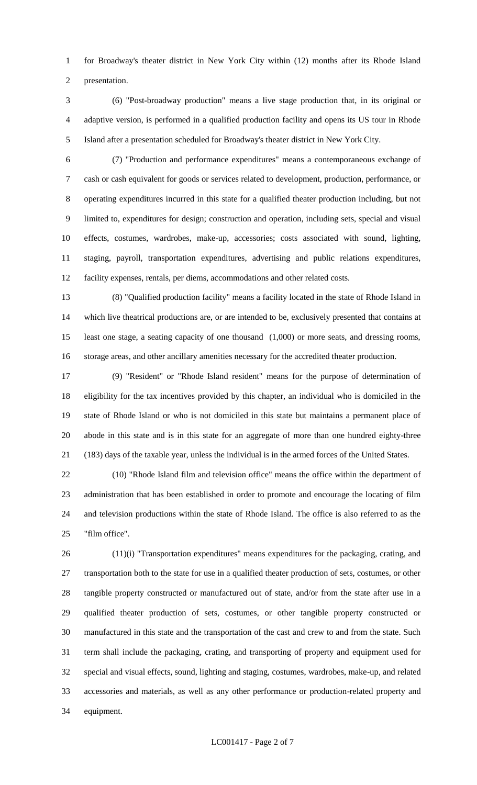for Broadway's theater district in New York City within (12) months after its Rhode Island presentation.

- (6) "Post-broadway production" means a live stage production that, in its original or adaptive version, is performed in a qualified production facility and opens its US tour in Rhode Island after a presentation scheduled for Broadway's theater district in New York City.
- 

 (7) "Production and performance expenditures" means a contemporaneous exchange of cash or cash equivalent for goods or services related to development, production, performance, or operating expenditures incurred in this state for a qualified theater production including, but not limited to, expenditures for design; construction and operation, including sets, special and visual effects, costumes, wardrobes, make-up, accessories; costs associated with sound, lighting, staging, payroll, transportation expenditures, advertising and public relations expenditures, facility expenses, rentals, per diems, accommodations and other related costs.

 (8) "Qualified production facility" means a facility located in the state of Rhode Island in which live theatrical productions are, or are intended to be, exclusively presented that contains at least one stage, a seating capacity of one thousand (1,000) or more seats, and dressing rooms, storage areas, and other ancillary amenities necessary for the accredited theater production.

 (9) "Resident" or "Rhode Island resident" means for the purpose of determination of eligibility for the tax incentives provided by this chapter, an individual who is domiciled in the state of Rhode Island or who is not domiciled in this state but maintains a permanent place of abode in this state and is in this state for an aggregate of more than one hundred eighty-three (183) days of the taxable year, unless the individual is in the armed forces of the United States.

 (10) "Rhode Island film and television office" means the office within the department of administration that has been established in order to promote and encourage the locating of film and television productions within the state of Rhode Island. The office is also referred to as the "film office".

 (11)(i) "Transportation expenditures" means expenditures for the packaging, crating, and transportation both to the state for use in a qualified theater production of sets, costumes, or other tangible property constructed or manufactured out of state, and/or from the state after use in a qualified theater production of sets, costumes, or other tangible property constructed or manufactured in this state and the transportation of the cast and crew to and from the state. Such term shall include the packaging, crating, and transporting of property and equipment used for special and visual effects, sound, lighting and staging, costumes, wardrobes, make-up, and related accessories and materials, as well as any other performance or production-related property and equipment.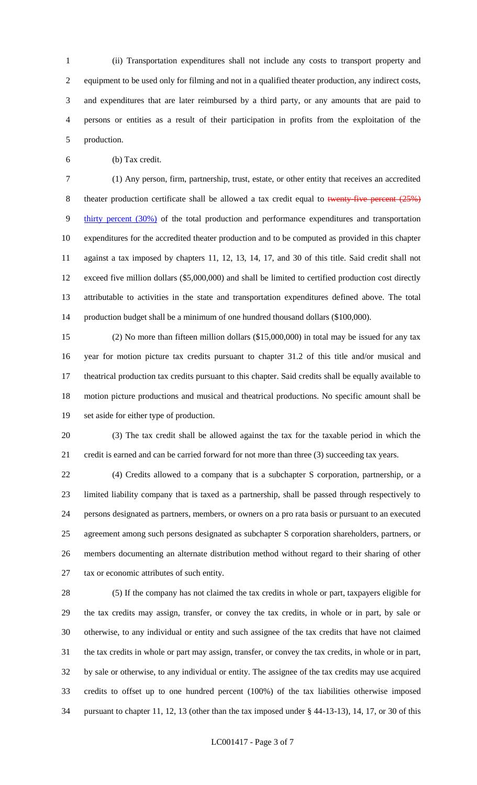(ii) Transportation expenditures shall not include any costs to transport property and equipment to be used only for filming and not in a qualified theater production, any indirect costs, and expenditures that are later reimbursed by a third party, or any amounts that are paid to persons or entities as a result of their participation in profits from the exploitation of the production.

(b) Tax credit.

 (1) Any person, firm, partnership, trust, estate, or other entity that receives an accredited 8 theater production certificate shall be allowed a tax credit equal to twenty-five percent (25%) thirty percent (30%) of the total production and performance expenditures and transportation expenditures for the accredited theater production and to be computed as provided in this chapter against a tax imposed by chapters 11, 12, 13, 14, 17, and 30 of this title. Said credit shall not exceed five million dollars (\$5,000,000) and shall be limited to certified production cost directly attributable to activities in the state and transportation expenditures defined above. The total production budget shall be a minimum of one hundred thousand dollars (\$100,000).

 (2) No more than fifteen million dollars (\$15,000,000) in total may be issued for any tax year for motion picture tax credits pursuant to chapter 31.2 of this title and/or musical and theatrical production tax credits pursuant to this chapter. Said credits shall be equally available to motion picture productions and musical and theatrical productions. No specific amount shall be set aside for either type of production.

 (3) The tax credit shall be allowed against the tax for the taxable period in which the credit is earned and can be carried forward for not more than three (3) succeeding tax years.

 (4) Credits allowed to a company that is a subchapter S corporation, partnership, or a limited liability company that is taxed as a partnership, shall be passed through respectively to persons designated as partners, members, or owners on a pro rata basis or pursuant to an executed agreement among such persons designated as subchapter S corporation shareholders, partners, or members documenting an alternate distribution method without regard to their sharing of other tax or economic attributes of such entity.

 (5) If the company has not claimed the tax credits in whole or part, taxpayers eligible for the tax credits may assign, transfer, or convey the tax credits, in whole or in part, by sale or otherwise, to any individual or entity and such assignee of the tax credits that have not claimed the tax credits in whole or part may assign, transfer, or convey the tax credits, in whole or in part, by sale or otherwise, to any individual or entity. The assignee of the tax credits may use acquired credits to offset up to one hundred percent (100%) of the tax liabilities otherwise imposed pursuant to chapter 11, 12, 13 (other than the tax imposed under § 44-13-13), 14, 17, or 30 of this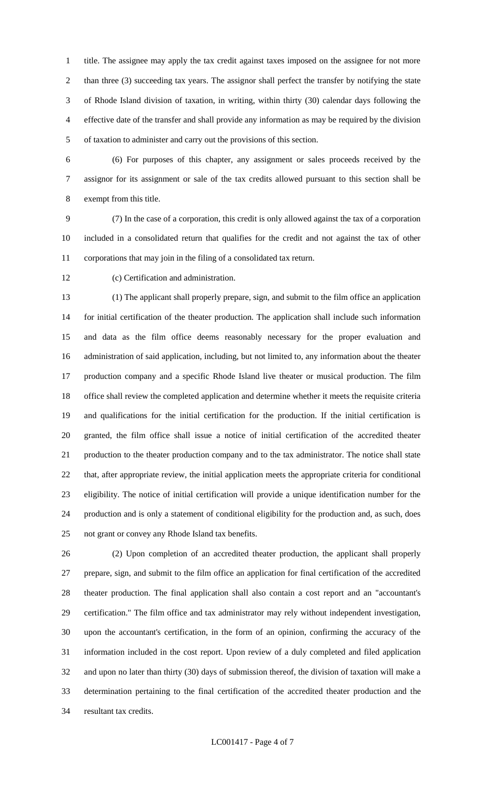title. The assignee may apply the tax credit against taxes imposed on the assignee for not more than three (3) succeeding tax years. The assignor shall perfect the transfer by notifying the state of Rhode Island division of taxation, in writing, within thirty (30) calendar days following the effective date of the transfer and shall provide any information as may be required by the division of taxation to administer and carry out the provisions of this section.

 (6) For purposes of this chapter, any assignment or sales proceeds received by the assignor for its assignment or sale of the tax credits allowed pursuant to this section shall be exempt from this title.

 (7) In the case of a corporation, this credit is only allowed against the tax of a corporation included in a consolidated return that qualifies for the credit and not against the tax of other corporations that may join in the filing of a consolidated tax return.

(c) Certification and administration.

 (1) The applicant shall properly prepare, sign, and submit to the film office an application for initial certification of the theater production. The application shall include such information and data as the film office deems reasonably necessary for the proper evaluation and administration of said application, including, but not limited to, any information about the theater production company and a specific Rhode Island live theater or musical production. The film office shall review the completed application and determine whether it meets the requisite criteria and qualifications for the initial certification for the production. If the initial certification is granted, the film office shall issue a notice of initial certification of the accredited theater production to the theater production company and to the tax administrator. The notice shall state that, after appropriate review, the initial application meets the appropriate criteria for conditional eligibility. The notice of initial certification will provide a unique identification number for the production and is only a statement of conditional eligibility for the production and, as such, does not grant or convey any Rhode Island tax benefits.

 (2) Upon completion of an accredited theater production, the applicant shall properly prepare, sign, and submit to the film office an application for final certification of the accredited theater production. The final application shall also contain a cost report and an "accountant's certification." The film office and tax administrator may rely without independent investigation, upon the accountant's certification, in the form of an opinion, confirming the accuracy of the information included in the cost report. Upon review of a duly completed and filed application and upon no later than thirty (30) days of submission thereof, the division of taxation will make a determination pertaining to the final certification of the accredited theater production and the resultant tax credits.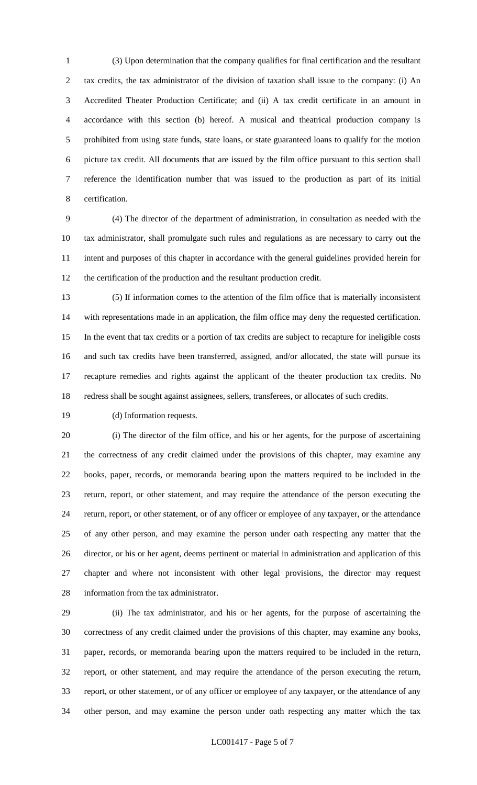(3) Upon determination that the company qualifies for final certification and the resultant tax credits, the tax administrator of the division of taxation shall issue to the company: (i) An Accredited Theater Production Certificate; and (ii) A tax credit certificate in an amount in accordance with this section (b) hereof. A musical and theatrical production company is prohibited from using state funds, state loans, or state guaranteed loans to qualify for the motion picture tax credit. All documents that are issued by the film office pursuant to this section shall reference the identification number that was issued to the production as part of its initial certification.

 (4) The director of the department of administration, in consultation as needed with the tax administrator, shall promulgate such rules and regulations as are necessary to carry out the intent and purposes of this chapter in accordance with the general guidelines provided herein for the certification of the production and the resultant production credit.

 (5) If information comes to the attention of the film office that is materially inconsistent with representations made in an application, the film office may deny the requested certification. In the event that tax credits or a portion of tax credits are subject to recapture for ineligible costs and such tax credits have been transferred, assigned, and/or allocated, the state will pursue its recapture remedies and rights against the applicant of the theater production tax credits. No redress shall be sought against assignees, sellers, transferees, or allocates of such credits.

(d) Information requests.

 (i) The director of the film office, and his or her agents, for the purpose of ascertaining the correctness of any credit claimed under the provisions of this chapter, may examine any books, paper, records, or memoranda bearing upon the matters required to be included in the return, report, or other statement, and may require the attendance of the person executing the return, report, or other statement, or of any officer or employee of any taxpayer, or the attendance of any other person, and may examine the person under oath respecting any matter that the director, or his or her agent, deems pertinent or material in administration and application of this chapter and where not inconsistent with other legal provisions, the director may request information from the tax administrator.

 (ii) The tax administrator, and his or her agents, for the purpose of ascertaining the correctness of any credit claimed under the provisions of this chapter, may examine any books, paper, records, or memoranda bearing upon the matters required to be included in the return, report, or other statement, and may require the attendance of the person executing the return, report, or other statement, or of any officer or employee of any taxpayer, or the attendance of any other person, and may examine the person under oath respecting any matter which the tax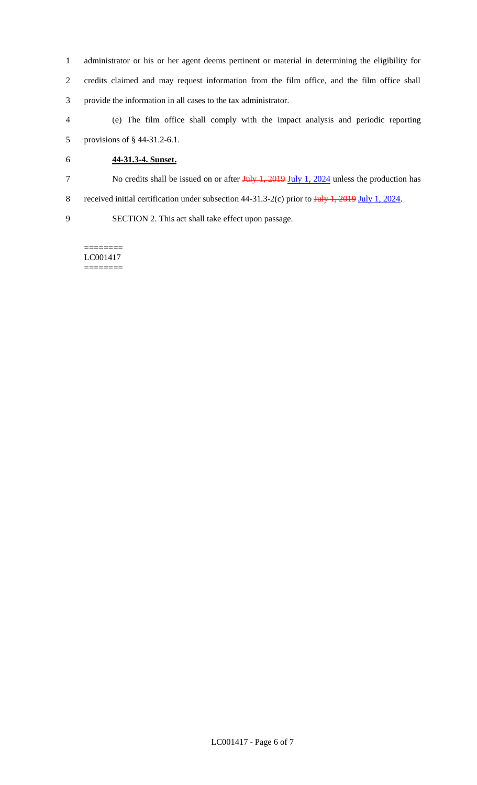- 1 administrator or his or her agent deems pertinent or material in determining the eligibility for 2 credits claimed and may request information from the film office, and the film office shall 3 provide the information in all cases to the tax administrator.
- 4 (e) The film office shall comply with the impact analysis and periodic reporting 5 provisions of § 44-31.2-6.1.
- 6 **44-31.3-4. Sunset.**
- 7 No credits shall be issued on or after July 1, 2019 July 1, 2024 unless the production has
- 8 received initial certification under subsection 44-31.3-2(c) prior to July 1, 2019 July 1, 2024.

9 SECTION 2. This act shall take effect upon passage.

======== LC001417 ========